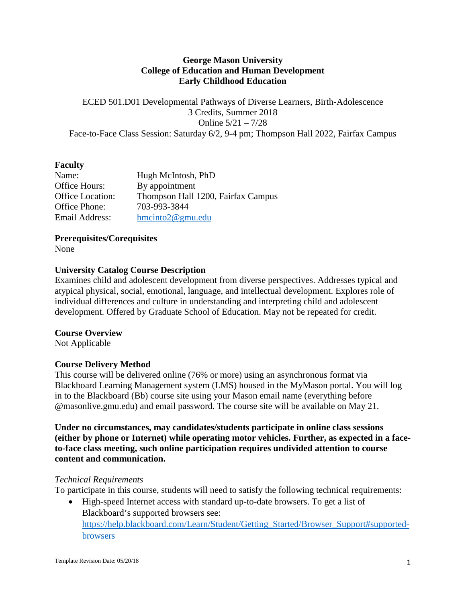### **George Mason University College of Education and Human Development Early Childhood Education**

ECED 501.D01 Developmental Pathways of Diverse Learners, Birth-Adolescence 3 Credits, Summer 2018 Online 5/21 – 7/28 Face-to-Face Class Session: Saturday 6/2, 9-4 pm; Thompson Hall 2022, Fairfax Campus

### **Faculty**

| Name:            | Hugh McIntosh, PhD                 |
|------------------|------------------------------------|
| Office Hours:    | By appointment                     |
| Office Location: | Thompson Hall 1200, Fairfax Campus |
| Office Phone:    | 703-993-3844                       |
| Email Address:   | $h$ mcinto $2@$ gmu.edu            |

**Prerequisites/Corequisites**

None

## **University Catalog Course Description**

Examines child and adolescent development from diverse perspectives. Addresses typical and atypical physical, social, emotional, language, and intellectual development. Explores role of individual differences and culture in understanding and interpreting child and adolescent development. Offered by Graduate School of Education. May not be repeated for credit.

### **Course Overview**

Not Applicable

## **Course Delivery Method**

This course will be delivered online (76% or more) using an asynchronous format via Blackboard Learning Management system (LMS) housed in the MyMason portal. You will log in to the Blackboard (Bb) course site using your Mason email name (everything before @masonlive.gmu.edu) and email password. The course site will be available on May 21.

**Under no circumstances, may candidates/students participate in online class sessions (either by phone or Internet) while operating motor vehicles. Further, as expected in a faceto-face class meeting, such online participation requires undivided attention to course content and communication.**

### *Technical Requirements*

To participate in this course, students will need to satisfy the following technical requirements:

• High-speed Internet access with standard up-to-date browsers. To get a list of Blackboard's supported browsers see: [https://help.blackboard.com/Learn/Student/Getting\\_Started/Browser\\_Support#supported](https://help.blackboard.com/Learn/Student/Getting_Started/Browser_Support#supported-browsers)[browsers](https://help.blackboard.com/Learn/Student/Getting_Started/Browser_Support#supported-browsers)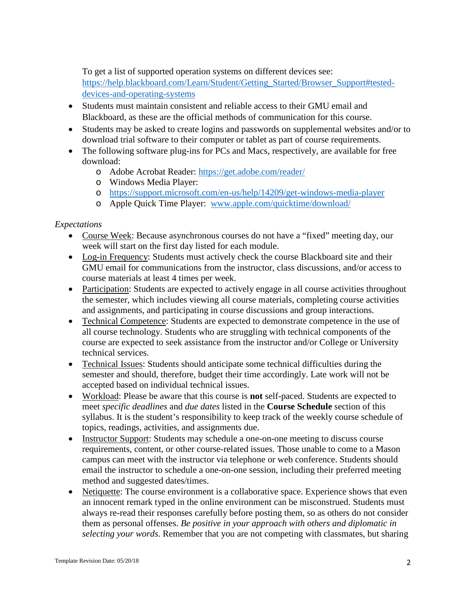To get a list of supported operation systems on different devices see: [https://help.blackboard.com/Learn/Student/Getting\\_Started/Browser\\_Support#tested](https://help.blackboard.com/Learn/Student/Getting_Started/Browser_Support#tested-devices-and-operating-systems)[devices-and-operating-systems](https://help.blackboard.com/Learn/Student/Getting_Started/Browser_Support#tested-devices-and-operating-systems)

- Students must maintain consistent and reliable access to their GMU email and Blackboard, as these are the official methods of communication for this course.
- Students may be asked to create logins and passwords on supplemental websites and/or to download trial software to their computer or tablet as part of course requirements.
- The following software plug-ins for PCs and Macs, respectively, are available for free download:
	- o Adobe Acrobat Reader:<https://get.adobe.com/reader/>
	- o Windows Media Player:
	- o <https://support.microsoft.com/en-us/help/14209/get-windows-media-player>
	- o Apple Quick Time Player: [www.apple.com/quicktime/download/](http://www.apple.com/quicktime/download/)

## *Expectations*

- Course Week: Because asynchronous courses do not have a "fixed" meeting day, our week will start on the first day listed for each module.
- Log-in Frequency: Students must actively check the course Blackboard site and their GMU email for communications from the instructor, class discussions, and/or access to course materials at least 4 times per week.
- Participation: Students are expected to actively engage in all course activities throughout the semester, which includes viewing all course materials, completing course activities and assignments, and participating in course discussions and group interactions.
- Technical Competence: Students are expected to demonstrate competence in the use of all course technology. Students who are struggling with technical components of the course are expected to seek assistance from the instructor and/or College or University technical services.
- Technical Issues: Students should anticipate some technical difficulties during the semester and should, therefore, budget their time accordingly. Late work will not be accepted based on individual technical issues.
- Workload: Please be aware that this course is **not** self-paced. Students are expected to meet *specific deadlines* and *due dates* listed in the **Course Schedule** section of this syllabus. It is the student's responsibility to keep track of the weekly course schedule of topics, readings, activities, and assignments due.
- Instructor Support: Students may schedule a one-on-one meeting to discuss course requirements, content, or other course-related issues. Those unable to come to a Mason campus can meet with the instructor via telephone or web conference. Students should email the instructor to schedule a one-on-one session, including their preferred meeting method and suggested dates/times.
- Netiquette: The course environment is a collaborative space. Experience shows that even an innocent remark typed in the online environment can be misconstrued. Students must always re-read their responses carefully before posting them, so as others do not consider them as personal offenses. *Be positive in your approach with others and diplomatic in selecting your words*. Remember that you are not competing with classmates, but sharing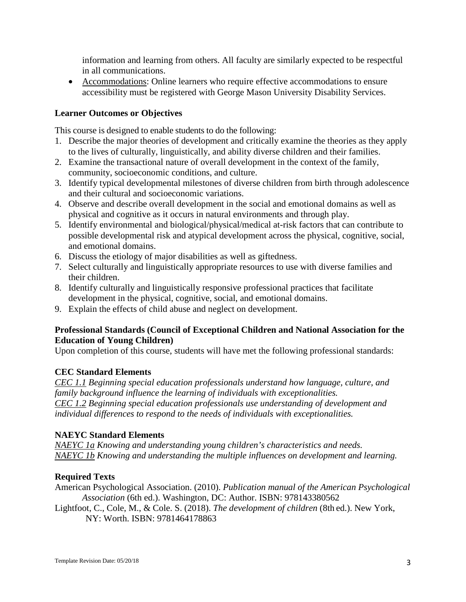information and learning from others. All faculty are similarly expected to be respectful in all communications.

• Accommodations: Online learners who require effective accommodations to ensure accessibility must be registered with George Mason University Disability Services.

## **Learner Outcomes or Objectives**

This course is designed to enable students to do the following:

- 1. Describe the major theories of development and critically examine the theories as they apply to the lives of culturally, linguistically, and ability diverse children and their families.
- 2. Examine the transactional nature of overall development in the context of the family, community, socioeconomic conditions, and culture.
- 3. Identify typical developmental milestones of diverse children from birth through adolescence and their cultural and socioeconomic variations.
- 4. Observe and describe overall development in the social and emotional domains as well as physical and cognitive as it occurs in natural environments and through play.
- 5. Identify environmental and biological/physical/medical at-risk factors that can contribute to possible developmental risk and atypical development across the physical, cognitive, social, and emotional domains.
- 6. Discuss the etiology of major disabilities as well as giftedness.
- 7. Select culturally and linguistically appropriate resources to use with diverse families and their children.
- 8. Identify culturally and linguistically responsive professional practices that facilitate development in the physical, cognitive, social, and emotional domains.
- 9. Explain the effects of child abuse and neglect on development.

## **Professional Standards (Council of Exceptional Children and National Association for the Education of Young Children)**

Upon completion of this course, students will have met the following professional standards:

## **CEC Standard Elements**

*CEC 1.1 Beginning special education professionals understand how language, culture, and family background influence the learning of individuals with exceptionalities. CEC 1.2 Beginning special education professionals use understanding of development and individual differences to respond to the needs of individuals with exceptionalities.*

### **NAEYC Standard Elements**

*NAEYC 1a Knowing and understanding young children's characteristics and needs. NAEYC 1b Knowing and understanding the multiple influences on development and learning.*

## **Required Texts**

American Psychological Association. (2010). *Publication manual of the American Psychological Association* (6th ed.). Washington, DC: Author. ISBN: 978143380562

Lightfoot, C., Cole, M., & Cole. S. (2018). *The development of children* (8th ed.). New York, NY: Worth. ISBN: 9781464178863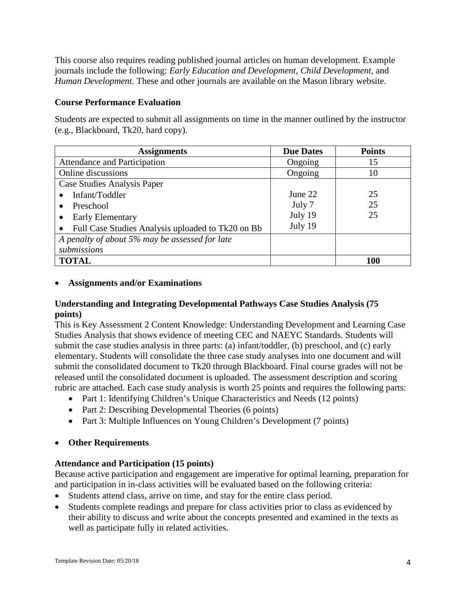This course also requires reading published journal articles on human development. Example journals include the following: *Early Education and Development*, *Child Development*, and *Human Development*. These and other journals are available on the Mason library website.

### **Course Performance Evaluation**

Students are expected to submit all assignments on time in the manner outlined by the instructor (e.g., Blackboard, Tk20, hard copy).

| <b>Assignments</b>                                             | <b>Due Dates</b> | <b>Points</b> |
|----------------------------------------------------------------|------------------|---------------|
| Attendance and Participation                                   | Ongoing          | 15            |
| Online discussions                                             | Ongoing          | 10            |
| Case Studies Analysis Paper                                    |                  |               |
| Infant/Toddler                                                 | June 22          | 25            |
| Preschool                                                      | July 7           | 25            |
| <b>Early Elementary</b>                                        | July 19          | 25            |
| Full Case Studies Analysis uploaded to Tk20 on Bb<br>$\bullet$ | July 19          |               |
| A penalty of about 5% may be assessed for late                 |                  |               |
| submissions                                                    |                  |               |
| <b>TOTAL</b>                                                   |                  | 100           |

### • **Assignments and/or Examinations**

### **Understanding and Integrating Developmental Pathways Case Studies Analysis (75 points)**

This is Key Assessment 2 Content Knowledge: Understanding Development and Learning Case Studies Analysis that shows evidence of meeting CEC and NAEYC Standards. Students will submit the case studies analysis in three parts: (a) infant/toddler, (b) preschool, and (c) early elementary. Students will consolidate the three case study analyses into one document and will submit the consolidated document to Tk20 through Blackboard. Final course grades will not be released until the consolidated document is uploaded. The assessment description and scoring rubric are attached. Each case study analysis is worth 25 points and requires the following parts:

- Part 1: Identifying Children's Unique Characteristics and Needs (12 points)
- Part 2: Describing Developmental Theories (6 points)
- Part 3: Multiple Influences on Young Children's Development (7 points)

## • **Other Requirements**

## **Attendance and Participation (15 points)**

Because active participation and engagement are imperative for optimal learning, preparation for and participation in in-class activities will be evaluated based on the following criteria:

- Students attend class, arrive on time, and stay for the entire class period.
- Students complete readings and prepare for class activities prior to class as evidenced by their ability to discuss and write about the concepts presented and examined in the texts as well as participate fully in related activities.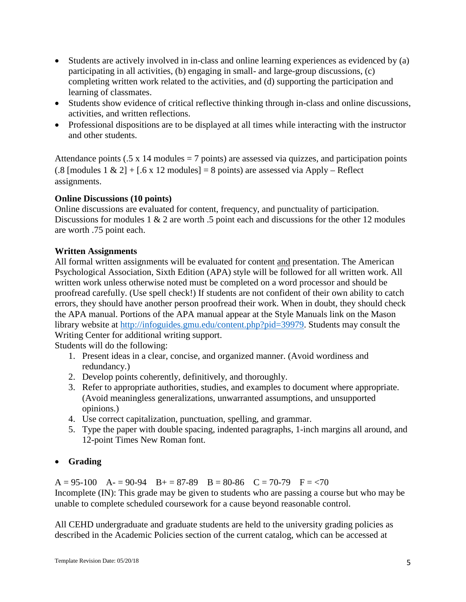- Students are actively involved in in-class and online learning experiences as evidenced by (a) participating in all activities, (b) engaging in small- and large-group discussions, (c) completing written work related to the activities, and (d) supporting the participation and learning of classmates.
- Students show evidence of critical reflective thinking through in-class and online discussions, activities, and written reflections.
- Professional dispositions are to be displayed at all times while interacting with the instructor and other students.

Attendance points  $(.5 \times 14 \text{ modules} = 7 \text{ points})$  are assessed via quizzes, and participation points  $(.8 \text{ [modules 1 & 2] + [0.6 \times 12 \text{ modules}]} = 8 \text{ points}$  are assessed via Apply – Reflect assignments.

## **Online Discussions (10 points)**

Online discussions are evaluated for content, frequency, and punctuality of participation. Discussions for modules 1 & 2 are worth .5 point each and discussions for the other 12 modules are worth .75 point each.

# **Written Assignments**

All formal written assignments will be evaluated for content and presentation. The American Psychological Association, Sixth Edition (APA) style will be followed for all written work. All written work unless otherwise noted must be completed on a word processor and should be proofread carefully. (Use spell check!) If students are not confident of their own ability to catch errors, they should have another person proofread their work. When in doubt, they should check the APA manual. Portions of the APA manual appear at the Style Manuals link on the Mason library website at [http://infoguides.gmu.edu/content.php?pid=39979.](http://infoguides.gmu.edu/content.php?pid=39979) Students may consult the Writing Center for additional writing support.

Students will do the following:

- 1. Present ideas in a clear, concise, and organized manner. (Avoid wordiness and redundancy.)
- 2. Develop points coherently, definitively, and thoroughly.
- 3. Refer to appropriate authorities, studies, and examples to document where appropriate. (Avoid meaningless generalizations, unwarranted assumptions, and unsupported opinions.)
- 4. Use correct capitalization, punctuation, spelling, and grammar.
- 5. Type the paper with double spacing, indented paragraphs, 1-inch margins all around, and 12-point Times New Roman font.

## • **Grading**

 $A = 95-100$   $A = 90-94$   $B = 87-89$   $B = 80-86$   $C = 70-79$   $F = < 70$ Incomplete (IN): This grade may be given to students who are passing a course but who may be unable to complete scheduled coursework for a cause beyond reasonable control.

All CEHD undergraduate and graduate students are held to the university grading policies as described in the Academic Policies section of the current catalog, which can be accessed at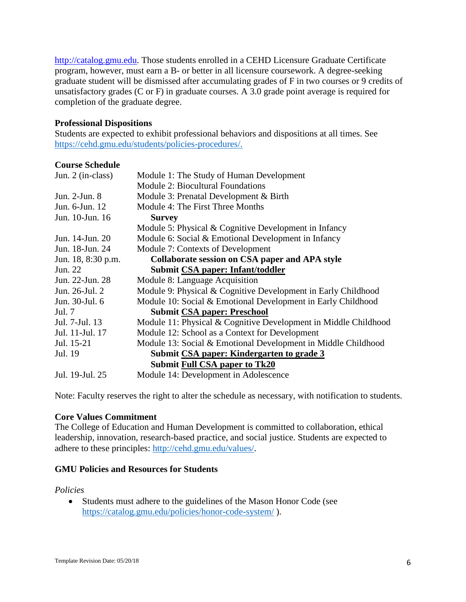[http://catalog.gmu.edu.](http://catalog.gmu.edu/) Those students enrolled in a CEHD Licensure Graduate Certificate program, however, must earn a B- or better in all licensure coursework. A degree-seeking graduate student will be dismissed after accumulating grades of F in two courses or 9 credits of unsatisfactory grades (C or F) in graduate courses. A 3.0 grade point average is required for completion of the graduate degree.

#### **Professional Dispositions**

Students are expected to exhibit professional behaviors and dispositions at all times. See [https://cehd.gmu.edu/students/policies-procedures/.](https://cehd.gmu.edu/students/policies-procedures/)

### **Course Schedule**

| Jun. 2 (in-class)                    | Module 1: The Study of Human Development                        |  |
|--------------------------------------|-----------------------------------------------------------------|--|
|                                      | <b>Module 2: Biocultural Foundations</b>                        |  |
| Jun. 2-Jun. 8                        | Module 3: Prenatal Development & Birth                          |  |
| Jun. 6-Jun. 12                       | Module 4: The First Three Months                                |  |
| Jun. 10-Jun. 16                      | <b>Survey</b>                                                   |  |
|                                      | Module 5: Physical & Cognitive Development in Infancy           |  |
| Jun. 14-Jun. 20                      | Module 6: Social & Emotional Development in Infancy             |  |
| Jun. 18-Jun. 24                      | Module 7: Contexts of Development                               |  |
| Jun. 18, 8:30 p.m.                   | Collaborate session on CSA paper and APA style                  |  |
| Jun. 22                              | Submit CSA paper: Infant/toddler                                |  |
| Jun. 22-Jun. 28                      | Module 8: Language Acquisition                                  |  |
| Jun. 26-Jul. 2                       | Module 9: Physical & Cognitive Development in Early Childhood   |  |
| Jun. 30-Jul. 6                       | Module 10: Social & Emotional Development in Early Childhood    |  |
| Jul. 7                               | <b>Submit CSA paper: Preschool</b>                              |  |
| Jul. 7-Jul. 13                       | Module 11: Physical & Cognitive Development in Middle Childhood |  |
| Jul. 11-Jul. 17                      | Module 12: School as a Context for Development                  |  |
| Jul. 15-21                           | Module 13: Social & Emotional Development in Middle Childhood   |  |
| Jul. 19                              | Submit CSA paper: Kindergarten to grade 3                       |  |
| <b>Submit Full CSA paper to Tk20</b> |                                                                 |  |
| Jul. 19-Jul. 25                      | Module 14: Development in Adolescence                           |  |

Note: Faculty reserves the right to alter the schedule as necessary, with notification to students.

### **Core Values Commitment**

The College of Education and Human Development is committed to collaboration, ethical leadership, innovation, research-based practice, and social justice. Students are expected to adhere to these principles: [http://cehd.gmu.edu/values/.](http://cehd.gmu.edu/values/)

### **GMU Policies and Resources for Students**

#### *Policies*

• Students must adhere to the guidelines of the Mason Honor Code (see <https://catalog.gmu.edu/policies/honor-code-system/> ).